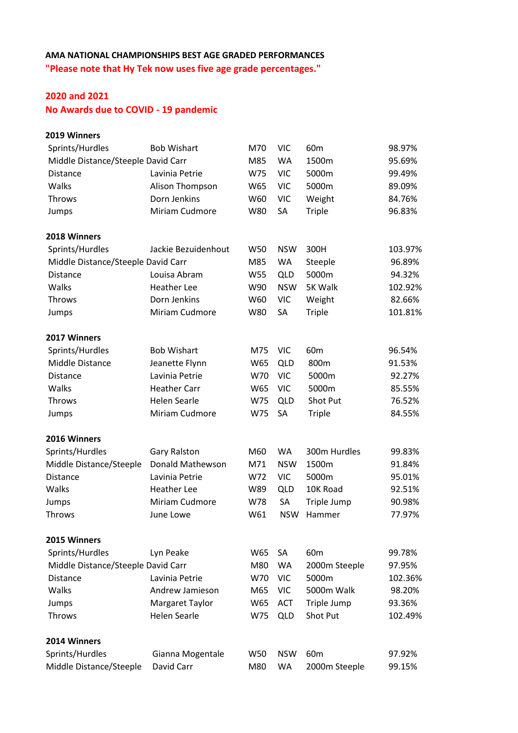## **AMA NATIONAL CHAMPIONSHIPS BEST AGE GRADED PERFORMANCES "Please note that Hy Tek now uses five age grade percentages."**

## **2020 and 2021**

**No Awards due to COVID - 19 pandemic**

| 2019 Winners                       |                     |     |            |                 |         |
|------------------------------------|---------------------|-----|------------|-----------------|---------|
| Sprints/Hurdles                    | <b>Bob Wishart</b>  | M70 | <b>VIC</b> | 60 <sub>m</sub> | 98.97%  |
| Middle Distance/Steeple David Carr |                     | M85 | <b>WA</b>  | 1500m           | 95.69%  |
| <b>Distance</b>                    | Lavinia Petrie      | W75 | <b>VIC</b> | 5000m           | 99.49%  |
| Walks                              | Alison Thompson     | W65 | <b>VIC</b> | 5000m           | 89.09%  |
| Throws                             | Dorn Jenkins        | W60 | <b>VIC</b> | Weight          | 84.76%  |
| Jumps                              | Miriam Cudmore      | W80 | SA         | <b>Triple</b>   | 96.83%  |
| 2018 Winners                       |                     |     |            |                 |         |
| Sprints/Hurdles                    | Jackie Bezuidenhout | W50 | <b>NSW</b> | 300H            | 103.97% |
| Middle Distance/Steeple David Carr |                     | M85 | <b>WA</b>  | Steeple         | 96.89%  |
| <b>Distance</b>                    | Louisa Abram        | W55 | <b>QLD</b> | 5000m           | 94.32%  |
| Walks                              | <b>Heather Lee</b>  | W90 | <b>NSW</b> | 5K Walk         | 102.92% |
| Throws                             | Dorn Jenkins        | W60 | <b>VIC</b> | Weight          | 82.66%  |
| Jumps                              | Miriam Cudmore      | W80 | SA         | <b>Triple</b>   | 101.81% |
| 2017 Winners                       |                     |     |            |                 |         |
| Sprints/Hurdles                    | <b>Bob Wishart</b>  | M75 | <b>VIC</b> | 60 <sub>m</sub> | 96.54%  |
| Middle Distance                    | Jeanette Flynn      | W65 | <b>QLD</b> | 800m            | 91.53%  |
| <b>Distance</b>                    | Lavinia Petrie      | W70 | <b>VIC</b> | 5000m           | 92.27%  |
| Walks                              | <b>Heather Carr</b> | W65 | <b>VIC</b> | 5000m           | 85.55%  |
| <b>Throws</b>                      | <b>Helen Searle</b> | W75 | <b>QLD</b> | Shot Put        | 76.52%  |
| Jumps                              | Miriam Cudmore      | W75 | SA         | <b>Triple</b>   | 84.55%  |
| 2016 Winners                       |                     |     |            |                 |         |
| Sprints/Hurdles                    | <b>Gary Ralston</b> | M60 | <b>WA</b>  | 300m Hurdles    | 99.83%  |
| Middle Distance/Steeple            | Donald Mathewson    | M71 | <b>NSW</b> | 1500m           | 91.84%  |
| <b>Distance</b>                    | Lavinia Petrie      | W72 | <b>VIC</b> | 5000m           | 95.01%  |
| Walks                              | <b>Heather Lee</b>  | W89 | <b>QLD</b> | 10K Road        | 92.51%  |
| Jumps                              | Miriam Cudmore      | W78 | SA         | Triple Jump     | 90.98%  |
| <b>Throws</b>                      | June Lowe           | W61 | <b>NSW</b> | Hammer          | 77.97%  |
| 2015 Winners                       |                     |     |            |                 |         |
| Sprints/Hurdles                    | Lyn Peake           | W65 | SA         | 60 <sub>m</sub> | 99.78%  |
| Middle Distance/Steeple David Carr |                     | M80 | <b>WA</b>  | 2000m Steeple   | 97.95%  |
| <b>Distance</b>                    | Lavinia Petrie      | W70 | <b>VIC</b> | 5000m           | 102.36% |
| Walks                              | Andrew Jamieson     | M65 | <b>VIC</b> | 5000m Walk      | 98.20%  |
| Jumps                              | Margaret Taylor     | W65 | <b>ACT</b> | Triple Jump     | 93.36%  |
| Throws                             | <b>Helen Searle</b> | W75 | <b>QLD</b> | Shot Put        | 102.49% |
| 2014 Winners                       |                     |     |            |                 |         |
| Sprints/Hurdles                    | Gianna Mogentale    | W50 | <b>NSW</b> | 60 <sub>m</sub> | 97.92%  |
| Middle Distance/Steeple            | David Carr          | M80 | <b>WA</b>  | 2000m Steeple   | 99.15%  |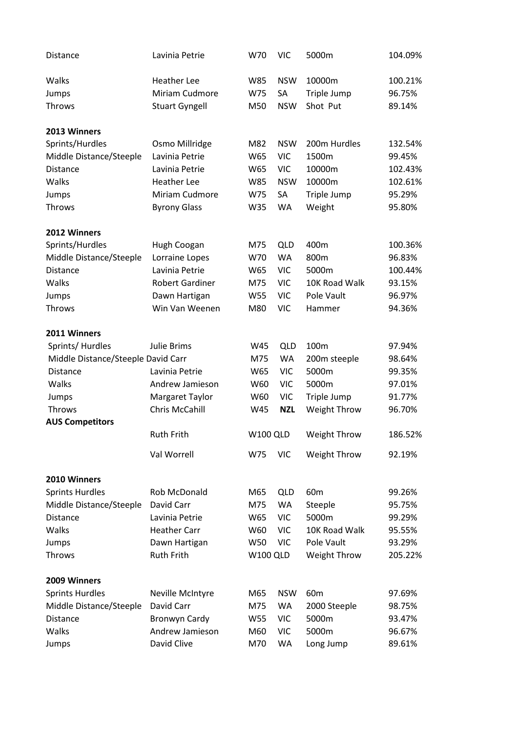| <b>Distance</b>                    | Lavinia Petrie         | W70             | <b>VIC</b> | 5000m            | 104.09% |
|------------------------------------|------------------------|-----------------|------------|------------------|---------|
| Walks                              | <b>Heather Lee</b>     | W85             | <b>NSW</b> | 10000m           | 100.21% |
| Jumps                              | Miriam Cudmore         | W75             | SA         | Triple Jump      | 96.75%  |
| Throws                             | <b>Stuart Gyngell</b>  | M50             | <b>NSW</b> | Shot Put         | 89.14%  |
| 2013 Winners                       |                        |                 |            |                  |         |
| Sprints/Hurdles                    | Osmo Millridge         | M82             | <b>NSW</b> | 200m Hurdles     | 132.54% |
| Middle Distance/Steeple            | Lavinia Petrie         | W65             | <b>VIC</b> | 1500m            | 99.45%  |
| Distance                           | Lavinia Petrie         | W65             | <b>VIC</b> | 10000m           | 102.43% |
| Walks                              | <b>Heather Lee</b>     | W85             | <b>NSW</b> | 10000m           | 102.61% |
| Jumps                              | Miriam Cudmore         | W75             | SA         | Triple Jump      | 95.29%  |
| Throws                             | <b>Byrony Glass</b>    | W35             | <b>WA</b>  | Weight           | 95.80%  |
| 2012 Winners                       |                        |                 |            |                  |         |
| Sprints/Hurdles                    | Hugh Coogan            | M75             | QLD        | 400m             | 100.36% |
| Middle Distance/Steeple            | Lorraine Lopes         | W70             | WA         | 800m             | 96.83%  |
| <b>Distance</b>                    | Lavinia Petrie         | W65             | <b>VIC</b> | 5000m            | 100.44% |
| Walks                              | <b>Robert Gardiner</b> | M75             | <b>VIC</b> | 10K Road Walk    | 93.15%  |
| Jumps                              | Dawn Hartigan          | W55             | <b>VIC</b> | Pole Vault       | 96.97%  |
| Throws                             | Win Van Weenen         | M80             | <b>VIC</b> | Hammer           | 94.36%  |
| 2011 Winners                       |                        |                 |            |                  |         |
| Sprints/ Hurdles                   | Julie Brims            | W45             | <b>QLD</b> | 100 <sub>m</sub> | 97.94%  |
| Middle Distance/Steeple David Carr |                        | M75             | WA         | 200m steeple     | 98.64%  |
| Distance                           | Lavinia Petrie         | W65             | <b>VIC</b> | 5000m            | 99.35%  |
| Walks                              | Andrew Jamieson        | W60             | <b>VIC</b> | 5000m            | 97.01%  |
| Jumps                              | Margaret Taylor        | W60             | <b>VIC</b> | Triple Jump      | 91.77%  |
| Throws                             | Chris McCahill         | W45             | <b>NZL</b> | Weight Throw     | 96.70%  |
| <b>AUS Competitors</b>             |                        |                 |            |                  |         |
|                                    | <b>Ruth Frith</b>      | <b>W100 QLD</b> |            | Weight Throw     | 186.52% |
|                                    | Val Worrell            | W75             | <b>VIC</b> | Weight Throw     | 92.19%  |
| 2010 Winners                       |                        |                 |            |                  |         |
| <b>Sprints Hurdles</b>             | Rob McDonald           | M65             | <b>QLD</b> | 60 <sub>m</sub>  | 99.26%  |
| Middle Distance/Steeple            | David Carr             | M75             | <b>WA</b>  | Steeple          | 95.75%  |
| <b>Distance</b>                    | Lavinia Petrie         | W65             | <b>VIC</b> | 5000m            | 99.29%  |
| Walks                              | <b>Heather Carr</b>    | W60             | <b>VIC</b> | 10K Road Walk    | 95.55%  |
| Jumps                              | Dawn Hartigan          | W50             | <b>VIC</b> | Pole Vault       | 93.29%  |
| <b>Throws</b>                      | <b>Ruth Frith</b>      | <b>W100 QLD</b> |            | Weight Throw     | 205.22% |
| 2009 Winners                       |                        |                 |            |                  |         |
| <b>Sprints Hurdles</b>             | Neville McIntyre       | M65             | <b>NSW</b> | 60 <sub>m</sub>  | 97.69%  |
| Middle Distance/Steeple            | David Carr             | M75             | WA         | 2000 Steeple     | 98.75%  |
| <b>Distance</b>                    | <b>Bronwyn Cardy</b>   | W55             | <b>VIC</b> | 5000m            | 93.47%  |
| Walks                              | Andrew Jamieson        | M60             | <b>VIC</b> | 5000m            | 96.67%  |
| Jumps                              | David Clive            | M70             | WA         | Long Jump        | 89.61%  |